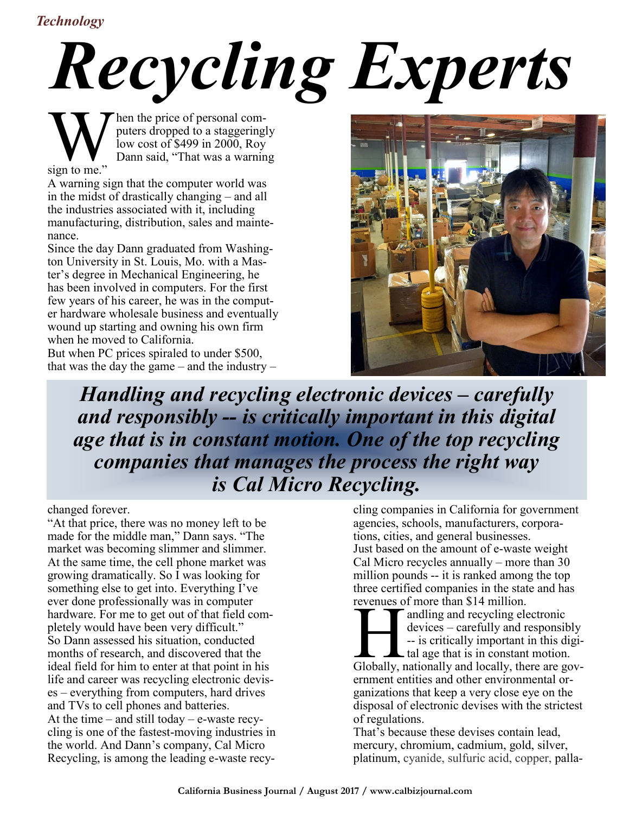## *Technology*

## *Recycling Experts*

hen the price of personal computers dropped to a staggeringly low cost of \$499 in 2000, Roy Dann said, "That was a warning

 $\sum_{\text{sign to me.}^{\infty}}$ 

A warning sign that the computer world was in the midst of drastically changing – and all the industries associated with it, including manufacturing, distribution, sales and maintenance.

Since the day Dann graduated from Washington University in St. Louis, Mo. with a Master's degree in Mechanical Engineering, he has been involved in computers. For the first few years of his career, he was in the computer hardware wholesale business and eventually wound up starting and owning his own firm when he moved to California.

But when PC prices spiraled to under \$500, that was the day the game – and the industry –



*Handling and recycling electronic devices – carefully and responsibly -- is critically important in this digital age that is in constant motion. One of the top recycling companies that manages the process the right way is Cal Micro Recycling.*

changed forever.

"At that price, there was no money left to be made for the middle man," Dann says. "The market was becoming slimmer and slimmer. At the same time, the cell phone market was growing dramatically. So I was looking for something else to get into. Everything I've ever done professionally was in computer hardware. For me to get out of that field completely would have been very difficult." So Dann assessed his situation, conducted months of research, and discovered that the ideal field for him to enter at that point in his life and career was recycling electronic devises – everything from computers, hard drives and TVs to cell phones and batteries. At the time – and still today – e-waste recycling is one of the fastest-moving industries in the world. And Dann's company, Cal Micro Recycling, is among the leading e-waste recy-

cling companies in California for government agencies, schools, manufacturers, corporations, cities, and general businesses. Just based on the amount of e-waste weight Cal Micro recycles annually – more than 30 million pounds -- it is ranked among the top three certified companies in the state and has revenues of more than \$14 million.

revenues of more than \$14 million.<br>
andling and recycling electronic<br>
devices – carefully and responsibly<br>
-- is critically important in this digi-<br>
tal age that is in constant motion.<br>
Globally, nationally and locally, th andling and recycling electronic devices – carefully and responsibly -- is critically important in this digi-L tal age that is in constant motion. ernment entities and other environmental organizations that keep a very close eye on the disposal of electronic devises with the strictest of regulations.

That's because these devises contain lead, mercury, chromium, cadmium, gold, silver, platinum, cyanide, sulfuric acid, copper, palla-